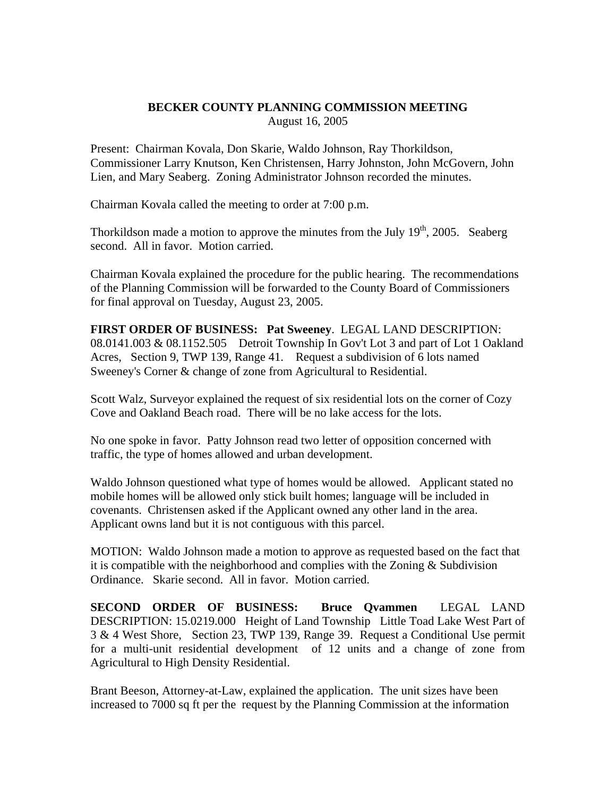## **BECKER COUNTY PLANNING COMMISSION MEETING**  August 16, 2005

Present: Chairman Kovala, Don Skarie, Waldo Johnson, Ray Thorkildson, Commissioner Larry Knutson, Ken Christensen, Harry Johnston, John McGovern, John Lien, and Mary Seaberg. Zoning Administrator Johnson recorded the minutes.

Chairman Kovala called the meeting to order at 7:00 p.m.

Thorkildson made a motion to approve the minutes from the July  $19<sup>th</sup>$ , 2005. Seaberg second. All in favor. Motion carried.

Chairman Kovala explained the procedure for the public hearing. The recommendations of the Planning Commission will be forwarded to the County Board of Commissioners for final approval on Tuesday, August 23, 2005.

**FIRST ORDER OF BUSINESS: Pat Sweeney**. LEGAL LAND DESCRIPTION: 08.0141.003 & 08.1152.505 Detroit Township In Gov't Lot 3 and part of Lot 1 Oakland Acres, Section 9, TWP 139, Range 41. Request a subdivision of 6 lots named Sweeney's Corner & change of zone from Agricultural to Residential.

Scott Walz, Surveyor explained the request of six residential lots on the corner of Cozy Cove and Oakland Beach road. There will be no lake access for the lots.

No one spoke in favor. Patty Johnson read two letter of opposition concerned with traffic, the type of homes allowed and urban development.

Waldo Johnson questioned what type of homes would be allowed. Applicant stated no mobile homes will be allowed only stick built homes; language will be included in covenants. Christensen asked if the Applicant owned any other land in the area. Applicant owns land but it is not contiguous with this parcel.

MOTION: Waldo Johnson made a motion to approve as requested based on the fact that it is compatible with the neighborhood and complies with the Zoning  $&$  Subdivision Ordinance. Skarie second. All in favor. Motion carried.

**SECOND ORDER OF BUSINESS: Bruce Qvammen** LEGAL LAND DESCRIPTION: 15.0219.000 Height of Land Township Little Toad Lake West Part of 3 & 4 West Shore, Section 23, TWP 139, Range 39. Request a Conditional Use permit for a multi-unit residential development of 12 units and a change of zone from Agricultural to High Density Residential.

Brant Beeson, Attorney-at-Law, explained the application. The unit sizes have been increased to 7000 sq ft per the request by the Planning Commission at the information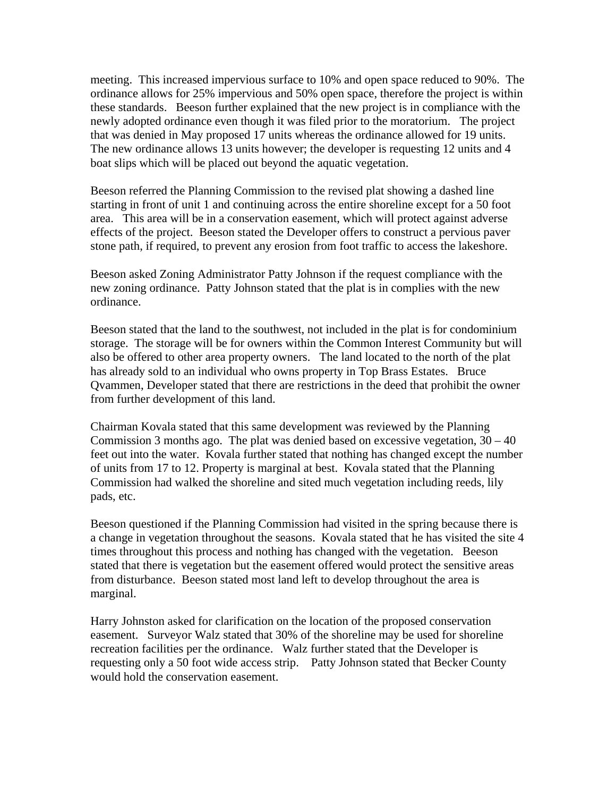meeting. This increased impervious surface to 10% and open space reduced to 90%. The ordinance allows for 25% impervious and 50% open space, therefore the project is within these standards. Beeson further explained that the new project is in compliance with the newly adopted ordinance even though it was filed prior to the moratorium. The project that was denied in May proposed 17 units whereas the ordinance allowed for 19 units. The new ordinance allows 13 units however; the developer is requesting 12 units and 4 boat slips which will be placed out beyond the aquatic vegetation.

Beeson referred the Planning Commission to the revised plat showing a dashed line starting in front of unit 1 and continuing across the entire shoreline except for a 50 foot area. This area will be in a conservation easement, which will protect against adverse effects of the project. Beeson stated the Developer offers to construct a pervious paver stone path, if required, to prevent any erosion from foot traffic to access the lakeshore.

Beeson asked Zoning Administrator Patty Johnson if the request compliance with the new zoning ordinance. Patty Johnson stated that the plat is in complies with the new ordinance.

Beeson stated that the land to the southwest, not included in the plat is for condominium storage. The storage will be for owners within the Common Interest Community but will also be offered to other area property owners. The land located to the north of the plat has already sold to an individual who owns property in Top Brass Estates. Bruce Qvammen, Developer stated that there are restrictions in the deed that prohibit the owner from further development of this land.

Chairman Kovala stated that this same development was reviewed by the Planning Commission 3 months ago. The plat was denied based on excessive vegetation,  $30 - 40$ feet out into the water. Kovala further stated that nothing has changed except the number of units from 17 to 12. Property is marginal at best. Kovala stated that the Planning Commission had walked the shoreline and sited much vegetation including reeds, lily pads, etc.

Beeson questioned if the Planning Commission had visited in the spring because there is a change in vegetation throughout the seasons. Kovala stated that he has visited the site 4 times throughout this process and nothing has changed with the vegetation. Beeson stated that there is vegetation but the easement offered would protect the sensitive areas from disturbance. Beeson stated most land left to develop throughout the area is marginal.

Harry Johnston asked for clarification on the location of the proposed conservation easement. Surveyor Walz stated that 30% of the shoreline may be used for shoreline recreation facilities per the ordinance. Walz further stated that the Developer is requesting only a 50 foot wide access strip. Patty Johnson stated that Becker County would hold the conservation easement.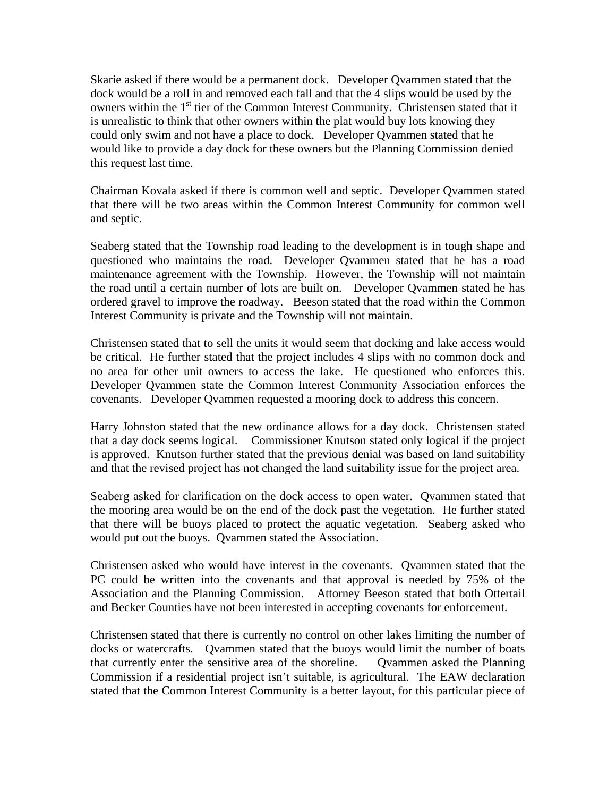Skarie asked if there would be a permanent dock. Developer Qvammen stated that the dock would be a roll in and removed each fall and that the 4 slips would be used by the owners within the 1<sup>st</sup> tier of the Common Interest Community. Christensen stated that it is unrealistic to think that other owners within the plat would buy lots knowing they could only swim and not have a place to dock. Developer Qvammen stated that he would like to provide a day dock for these owners but the Planning Commission denied this request last time.

Chairman Kovala asked if there is common well and septic. Developer Qvammen stated that there will be two areas within the Common Interest Community for common well and septic.

Seaberg stated that the Township road leading to the development is in tough shape and questioned who maintains the road. Developer Qvammen stated that he has a road maintenance agreement with the Township. However, the Township will not maintain the road until a certain number of lots are built on. Developer Qvammen stated he has ordered gravel to improve the roadway. Beeson stated that the road within the Common Interest Community is private and the Township will not maintain.

Christensen stated that to sell the units it would seem that docking and lake access would be critical. He further stated that the project includes 4 slips with no common dock and no area for other unit owners to access the lake. He questioned who enforces this. Developer Qvammen state the Common Interest Community Association enforces the covenants. Developer Qvammen requested a mooring dock to address this concern.

Harry Johnston stated that the new ordinance allows for a day dock. Christensen stated that a day dock seems logical. Commissioner Knutson stated only logical if the project is approved. Knutson further stated that the previous denial was based on land suitability and that the revised project has not changed the land suitability issue for the project area.

Seaberg asked for clarification on the dock access to open water. Qvammen stated that the mooring area would be on the end of the dock past the vegetation. He further stated that there will be buoys placed to protect the aquatic vegetation. Seaberg asked who would put out the buoys. Qvammen stated the Association.

Christensen asked who would have interest in the covenants. Qvammen stated that the PC could be written into the covenants and that approval is needed by 75% of the Association and the Planning Commission. Attorney Beeson stated that both Ottertail and Becker Counties have not been interested in accepting covenants for enforcement.

Christensen stated that there is currently no control on other lakes limiting the number of docks or watercrafts. Qvammen stated that the buoys would limit the number of boats that currently enter the sensitive area of the shoreline. Qvammen asked the Planning Commission if a residential project isn't suitable, is agricultural. The EAW declaration stated that the Common Interest Community is a better layout, for this particular piece of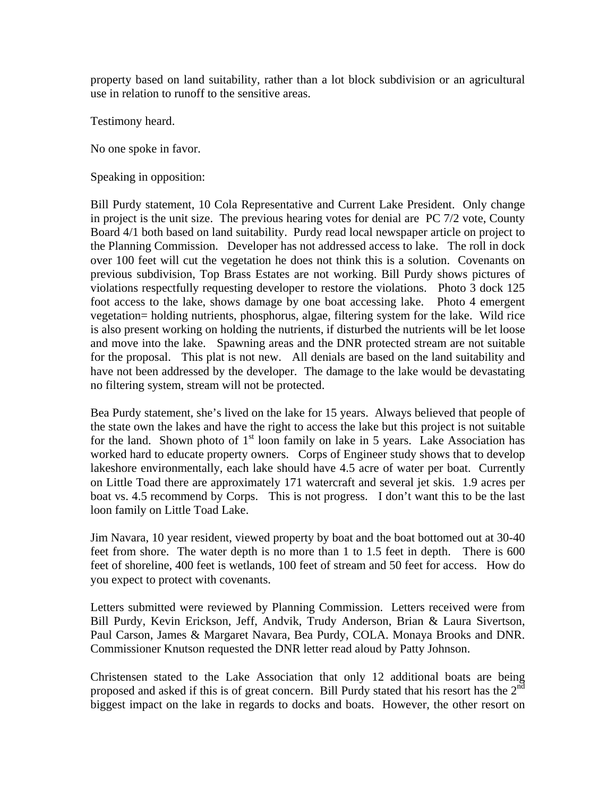property based on land suitability, rather than a lot block subdivision or an agricultural use in relation to runoff to the sensitive areas.

Testimony heard.

No one spoke in favor.

Speaking in opposition:

Bill Purdy statement, 10 Cola Representative and Current Lake President. Only change in project is the unit size. The previous hearing votes for denial are PC 7/2 vote, County Board 4/1 both based on land suitability. Purdy read local newspaper article on project to the Planning Commission. Developer has not addressed access to lake. The roll in dock over 100 feet will cut the vegetation he does not think this is a solution. Covenants on previous subdivision, Top Brass Estates are not working. Bill Purdy shows pictures of violations respectfully requesting developer to restore the violations. Photo 3 dock 125 foot access to the lake, shows damage by one boat accessing lake. Photo 4 emergent vegetation= holding nutrients, phosphorus, algae, filtering system for the lake. Wild rice is also present working on holding the nutrients, if disturbed the nutrients will be let loose and move into the lake. Spawning areas and the DNR protected stream are not suitable for the proposal. This plat is not new. All denials are based on the land suitability and have not been addressed by the developer. The damage to the lake would be devastating no filtering system, stream will not be protected.

Bea Purdy statement, she's lived on the lake for 15 years. Always believed that people of the state own the lakes and have the right to access the lake but this project is not suitable for the land. Shown photo of  $1<sup>st</sup>$  loon family on lake in 5 years. Lake Association has worked hard to educate property owners. Corps of Engineer study shows that to develop lakeshore environmentally, each lake should have 4.5 acre of water per boat. Currently on Little Toad there are approximately 171 watercraft and several jet skis. 1.9 acres per boat vs. 4.5 recommend by Corps. This is not progress. I don't want this to be the last loon family on Little Toad Lake.

Jim Navara, 10 year resident, viewed property by boat and the boat bottomed out at 30-40 feet from shore. The water depth is no more than 1 to 1.5 feet in depth. There is 600 feet of shoreline, 400 feet is wetlands, 100 feet of stream and 50 feet for access. How do you expect to protect with covenants.

Letters submitted were reviewed by Planning Commission. Letters received were from Bill Purdy, Kevin Erickson, Jeff, Andvik, Trudy Anderson, Brian & Laura Sivertson, Paul Carson, James & Margaret Navara, Bea Purdy, COLA. Monaya Brooks and DNR. Commissioner Knutson requested the DNR letter read aloud by Patty Johnson.

Christensen stated to the Lake Association that only 12 additional boats are being proposed and asked if this is of great concern. Bill Purdy stated that his resort has the  $2<sup>nd</sup>$ biggest impact on the lake in regards to docks and boats. However, the other resort on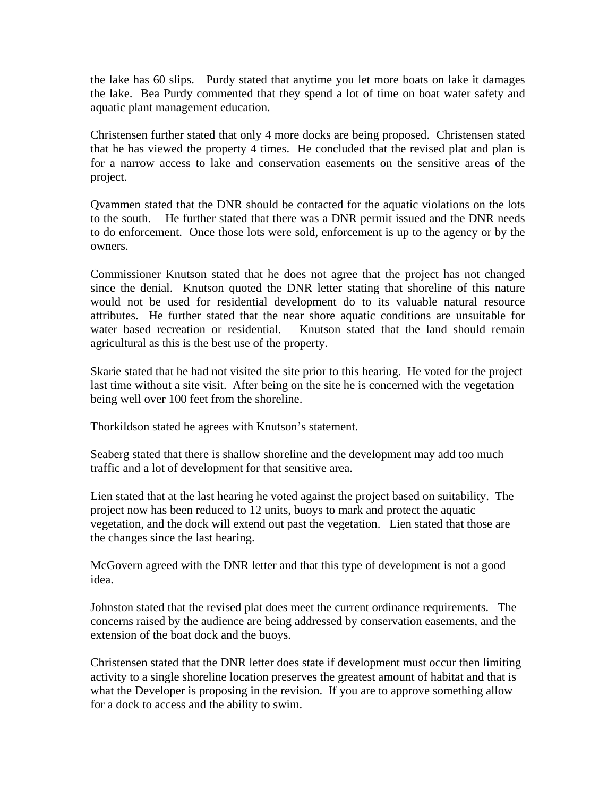the lake has 60 slips. Purdy stated that anytime you let more boats on lake it damages the lake. Bea Purdy commented that they spend a lot of time on boat water safety and aquatic plant management education.

Christensen further stated that only 4 more docks are being proposed. Christensen stated that he has viewed the property 4 times. He concluded that the revised plat and plan is for a narrow access to lake and conservation easements on the sensitive areas of the project.

Qvammen stated that the DNR should be contacted for the aquatic violations on the lots to the south. He further stated that there was a DNR permit issued and the DNR needs to do enforcement. Once those lots were sold, enforcement is up to the agency or by the owners.

Commissioner Knutson stated that he does not agree that the project has not changed since the denial. Knutson quoted the DNR letter stating that shoreline of this nature would not be used for residential development do to its valuable natural resource attributes. He further stated that the near shore aquatic conditions are unsuitable for water based recreation or residential. Knutson stated that the land should remain agricultural as this is the best use of the property.

Skarie stated that he had not visited the site prior to this hearing. He voted for the project last time without a site visit. After being on the site he is concerned with the vegetation being well over 100 feet from the shoreline.

Thorkildson stated he agrees with Knutson's statement.

Seaberg stated that there is shallow shoreline and the development may add too much traffic and a lot of development for that sensitive area.

Lien stated that at the last hearing he voted against the project based on suitability. The project now has been reduced to 12 units, buoys to mark and protect the aquatic vegetation, and the dock will extend out past the vegetation. Lien stated that those are the changes since the last hearing.

McGovern agreed with the DNR letter and that this type of development is not a good idea.

Johnston stated that the revised plat does meet the current ordinance requirements. The concerns raised by the audience are being addressed by conservation easements, and the extension of the boat dock and the buoys.

Christensen stated that the DNR letter does state if development must occur then limiting activity to a single shoreline location preserves the greatest amount of habitat and that is what the Developer is proposing in the revision. If you are to approve something allow for a dock to access and the ability to swim.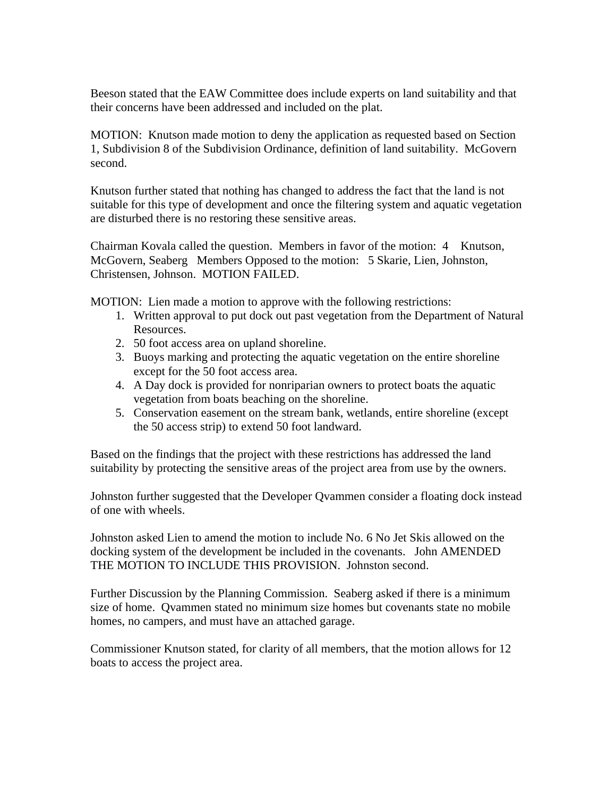Beeson stated that the EAW Committee does include experts on land suitability and that their concerns have been addressed and included on the plat.

MOTION: Knutson made motion to deny the application as requested based on Section 1, Subdivision 8 of the Subdivision Ordinance, definition of land suitability. McGovern second.

Knutson further stated that nothing has changed to address the fact that the land is not suitable for this type of development and once the filtering system and aquatic vegetation are disturbed there is no restoring these sensitive areas.

Chairman Kovala called the question. Members in favor of the motion: 4 Knutson, McGovern, Seaberg Members Opposed to the motion: 5 Skarie, Lien, Johnston, Christensen, Johnson. MOTION FAILED.

MOTION: Lien made a motion to approve with the following restrictions:

- 1. Written approval to put dock out past vegetation from the Department of Natural Resources.
- 2. 50 foot access area on upland shoreline.
- 3. Buoys marking and protecting the aquatic vegetation on the entire shoreline except for the 50 foot access area.
- 4. A Day dock is provided for nonriparian owners to protect boats the aquatic vegetation from boats beaching on the shoreline.
- 5. Conservation easement on the stream bank, wetlands, entire shoreline (except the 50 access strip) to extend 50 foot landward.

Based on the findings that the project with these restrictions has addressed the land suitability by protecting the sensitive areas of the project area from use by the owners.

Johnston further suggested that the Developer Qvammen consider a floating dock instead of one with wheels.

Johnston asked Lien to amend the motion to include No. 6 No Jet Skis allowed on the docking system of the development be included in the covenants. John AMENDED THE MOTION TO INCLUDE THIS PROVISION. Johnston second.

Further Discussion by the Planning Commission. Seaberg asked if there is a minimum size of home. Qvammen stated no minimum size homes but covenants state no mobile homes, no campers, and must have an attached garage.

Commissioner Knutson stated, for clarity of all members, that the motion allows for 12 boats to access the project area.